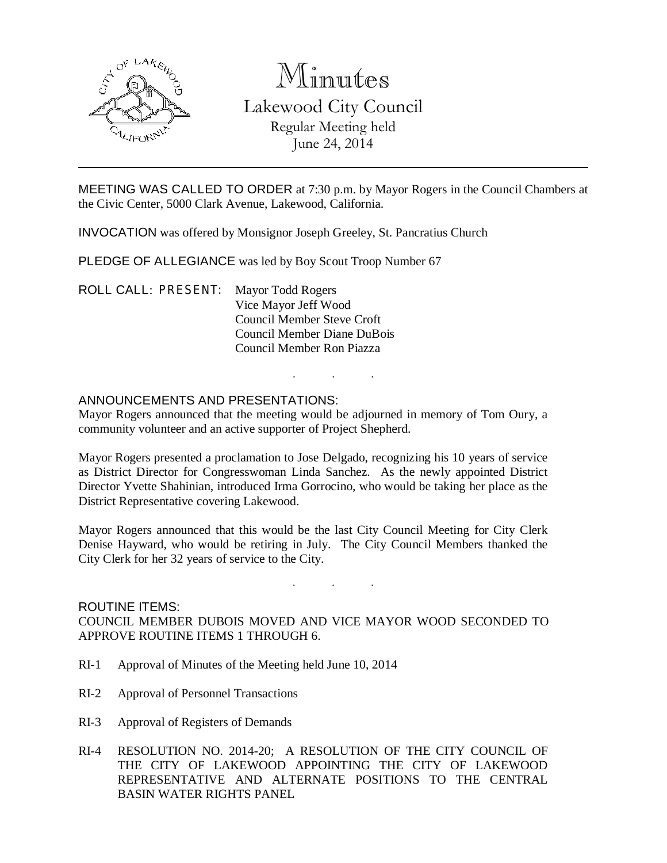

# Minutes

Lakewood City Council Regular Meeting held June 24, 2014

MEETING WAS CALLED TO ORDER at 7:30 p.m. by Mayor Rogers in the Council Chambers at the Civic Center, 5000 Clark Avenue, Lakewood, California.

INVOCATION was offered by Monsignor Joseph Greeley, St. Pancratius Church

PLEDGE OF ALLEGIANCE was led by Boy Scout Troop Number 67

ROLL CALL: PRESENT: Mayor Todd Rogers Vice Mayor Jeff Wood Council Member Steve Croft Council Member Diane DuBois Council Member Ron Piazza

## ANNOUNCEMENTS AND PRESENTATIONS:

Mayor Rogers announced that the meeting would be adjourned in memory of Tom Oury, a community volunteer and an active supporter of Project Shepherd.

. . .

Mayor Rogers presented a proclamation to Jose Delgado, recognizing his 10 years of service as District Director for Congresswoman Linda Sanchez. As the newly appointed District Director Yvette Shahinian, introduced Irma Gorrocino, who would be taking her place as the District Representative covering Lakewood.

Mayor Rogers announced that this would be the last City Council Meeting for City Clerk Denise Hayward, who would be retiring in July. The City Council Members thanked the City Clerk for her 32 years of service to the City.

. . .

#### ROUTINE ITEMS:

COUNCIL MEMBER DUBOIS MOVED AND VICE MAYOR WOOD SECONDED TO APPROVE ROUTINE ITEMS 1 THROUGH 6.

- RI-1 Approval of Minutes of the Meeting held June 10, 2014
- RI-2 Approval of Personnel Transactions
- RI-3 Approval of Registers of Demands
- RI-4 RESOLUTION NO. 2014-20; A RESOLUTION OF THE CITY COUNCIL OF THE CITY OF LAKEWOOD APPOINTING THE CITY OF LAKEWOOD REPRESENTATIVE AND ALTERNATE POSITIONS TO THE CENTRAL BASIN WATER RIGHTS PANEL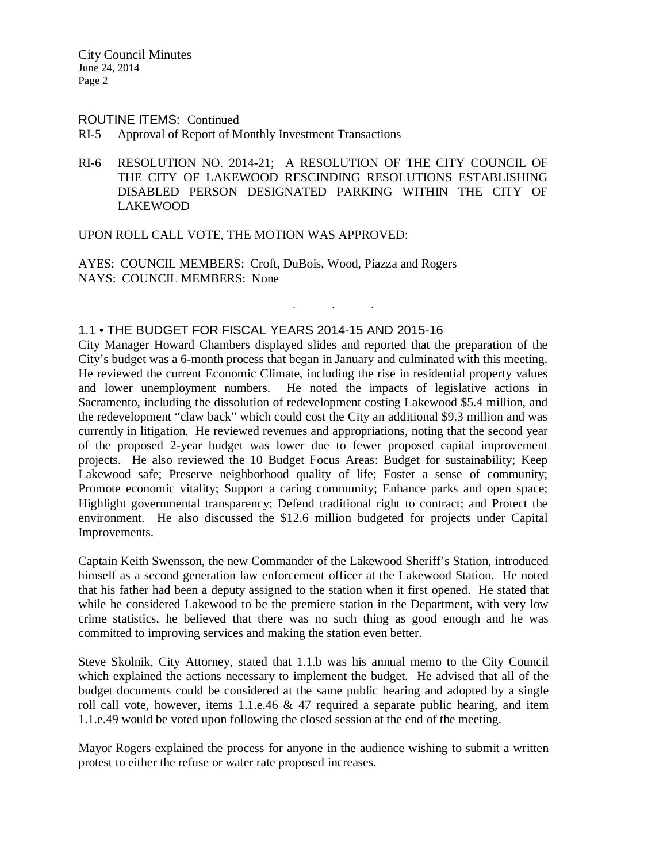#### ROUTINE ITEMS: Continued

- RI-5 Approval of Report of Monthly Investment Transactions
- RI-6 RESOLUTION NO. 2014-21; A RESOLUTION OF THE CITY COUNCIL OF THE CITY OF LAKEWOOD RESCINDING RESOLUTIONS ESTABLISHING DISABLED PERSON DESIGNATED PARKING WITHIN THE CITY OF LAKEWOOD

. . .

UPON ROLL CALL VOTE, THE MOTION WAS APPROVED:

AYES: COUNCIL MEMBERS: Croft, DuBois, Wood, Piazza and Rogers NAYS: COUNCIL MEMBERS: None

#### 1.1 • THE BUDGET FOR FISCAL YEARS 2014-15 AND 2015-16

City Manager Howard Chambers displayed slides and reported that the preparation of the City's budget was a 6-month process that began in January and culminated with this meeting. He reviewed the current Economic Climate, including the rise in residential property values and lower unemployment numbers. He noted the impacts of legislative actions in Sacramento, including the dissolution of redevelopment costing Lakewood \$5.4 million, and the redevelopment "claw back" which could cost the City an additional \$9.3 million and was currently in litigation. He reviewed revenues and appropriations, noting that the second year of the proposed 2-year budget was lower due to fewer proposed capital improvement projects. He also reviewed the 10 Budget Focus Areas: Budget for sustainability; Keep Lakewood safe; Preserve neighborhood quality of life; Foster a sense of community; Promote economic vitality; Support a caring community; Enhance parks and open space; Highlight governmental transparency; Defend traditional right to contract; and Protect the environment. He also discussed the \$12.6 million budgeted for projects under Capital Improvements.

Captain Keith Swensson, the new Commander of the Lakewood Sheriff's Station, introduced himself as a second generation law enforcement officer at the Lakewood Station. He noted that his father had been a deputy assigned to the station when it first opened. He stated that while he considered Lakewood to be the premiere station in the Department, with very low crime statistics, he believed that there was no such thing as good enough and he was committed to improving services and making the station even better.

Steve Skolnik, City Attorney, stated that 1.1.b was his annual memo to the City Council which explained the actions necessary to implement the budget. He advised that all of the budget documents could be considered at the same public hearing and adopted by a single roll call vote, however, items 1.1.e.46  $\&$  47 required a separate public hearing, and item 1.1.e.49 would be voted upon following the closed session at the end of the meeting.

Mayor Rogers explained the process for anyone in the audience wishing to submit a written protest to either the refuse or water rate proposed increases.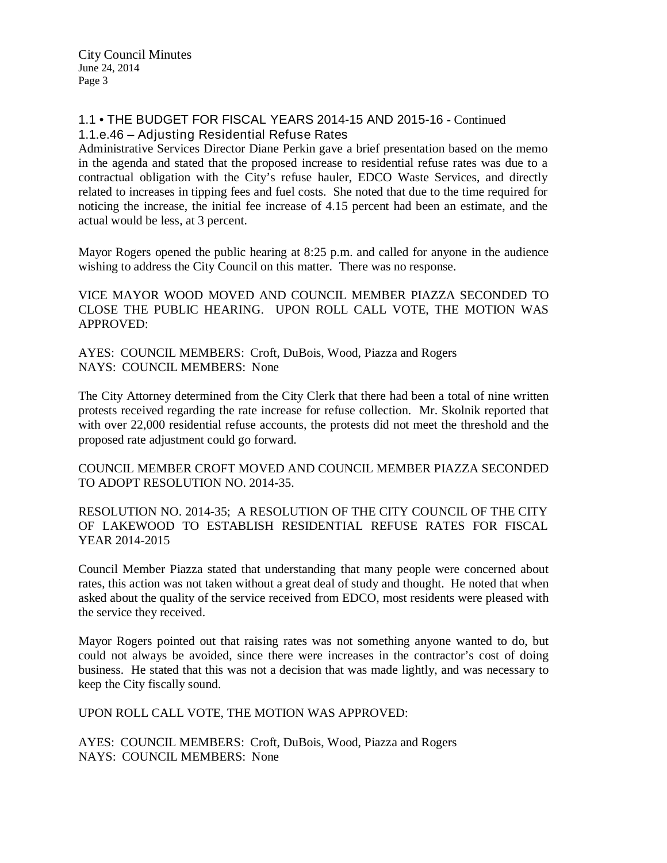# 1.1 • THE BUDGET FOR FISCAL YEARS 2014-15 AND 2015-16 - Continued 1.1.e.46 – Adjusting Residential Refuse Rates

Administrative Services Director Diane Perkin gave a brief presentation based on the memo in the agenda and stated that the proposed increase to residential refuse rates was due to a contractual obligation with the City's refuse hauler, EDCO Waste Services, and directly related to increases in tipping fees and fuel costs. She noted that due to the time required for noticing the increase, the initial fee increase of 4.15 percent had been an estimate, and the actual would be less, at 3 percent.

Mayor Rogers opened the public hearing at 8:25 p.m. and called for anyone in the audience wishing to address the City Council on this matter. There was no response.

VICE MAYOR WOOD MOVED AND COUNCIL MEMBER PIAZZA SECONDED TO CLOSE THE PUBLIC HEARING. UPON ROLL CALL VOTE, THE MOTION WAS APPROVED:

AYES: COUNCIL MEMBERS: Croft, DuBois, Wood, Piazza and Rogers NAYS: COUNCIL MEMBERS: None

The City Attorney determined from the City Clerk that there had been a total of nine written protests received regarding the rate increase for refuse collection. Mr. Skolnik reported that with over 22,000 residential refuse accounts, the protests did not meet the threshold and the proposed rate adjustment could go forward.

COUNCIL MEMBER CROFT MOVED AND COUNCIL MEMBER PIAZZA SECONDED TO ADOPT RESOLUTION NO. 2014-35.

RESOLUTION NO. 2014-35; A RESOLUTION OF THE CITY COUNCIL OF THE CITY OF LAKEWOOD TO ESTABLISH RESIDENTIAL REFUSE RATES FOR FISCAL YEAR 2014-2015

Council Member Piazza stated that understanding that many people were concerned about rates, this action was not taken without a great deal of study and thought. He noted that when asked about the quality of the service received from EDCO, most residents were pleased with the service they received.

Mayor Rogers pointed out that raising rates was not something anyone wanted to do, but could not always be avoided, since there were increases in the contractor's cost of doing business. He stated that this was not a decision that was made lightly, and was necessary to keep the City fiscally sound.

UPON ROLL CALL VOTE, THE MOTION WAS APPROVED:

AYES: COUNCIL MEMBERS: Croft, DuBois, Wood, Piazza and Rogers NAYS: COUNCIL MEMBERS: None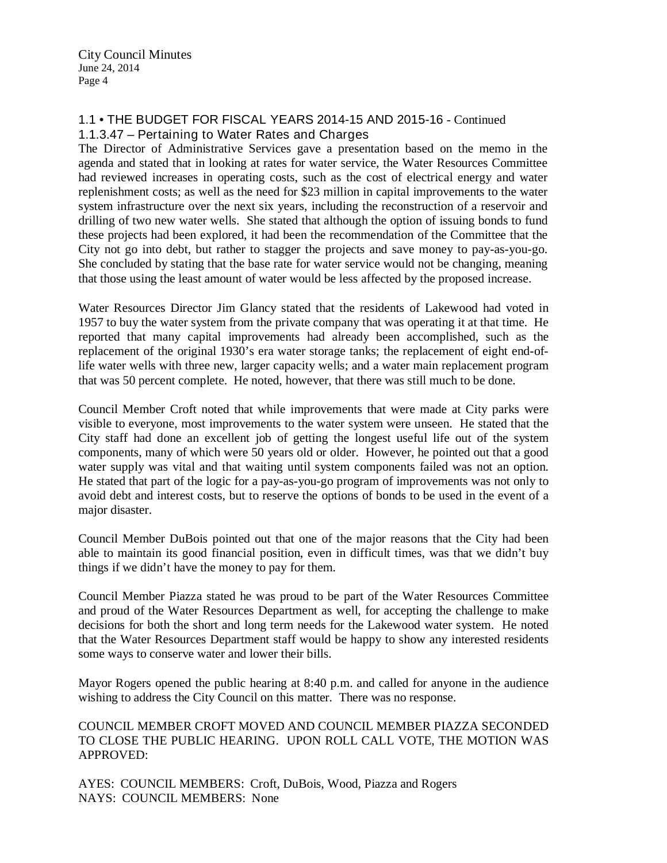# 1.1 • THE BUDGET FOR FISCAL YEARS 2014-15 AND 2015-16 - Continued 1.1.3.47 – Pertaining to Water Rates and Charges

The Director of Administrative Services gave a presentation based on the memo in the agenda and stated that in looking at rates for water service, the Water Resources Committee had reviewed increases in operating costs, such as the cost of electrical energy and water replenishment costs; as well as the need for \$23 million in capital improvements to the water system infrastructure over the next six years, including the reconstruction of a reservoir and drilling of two new water wells. She stated that although the option of issuing bonds to fund these projects had been explored, it had been the recommendation of the Committee that the City not go into debt, but rather to stagger the projects and save money to pay-as-you-go. She concluded by stating that the base rate for water service would not be changing, meaning that those using the least amount of water would be less affected by the proposed increase.

Water Resources Director Jim Glancy stated that the residents of Lakewood had voted in 1957 to buy the water system from the private company that was operating it at that time. He reported that many capital improvements had already been accomplished, such as the replacement of the original 1930's era water storage tanks; the replacement of eight end-oflife water wells with three new, larger capacity wells; and a water main replacement program that was 50 percent complete. He noted, however, that there was still much to be done.

Council Member Croft noted that while improvements that were made at City parks were visible to everyone, most improvements to the water system were unseen. He stated that the City staff had done an excellent job of getting the longest useful life out of the system components, many of which were 50 years old or older. However, he pointed out that a good water supply was vital and that waiting until system components failed was not an option. He stated that part of the logic for a pay-as-you-go program of improvements was not only to avoid debt and interest costs, but to reserve the options of bonds to be used in the event of a major disaster.

Council Member DuBois pointed out that one of the major reasons that the City had been able to maintain its good financial position, even in difficult times, was that we didn't buy things if we didn't have the money to pay for them.

Council Member Piazza stated he was proud to be part of the Water Resources Committee and proud of the Water Resources Department as well, for accepting the challenge to make decisions for both the short and long term needs for the Lakewood water system. He noted that the Water Resources Department staff would be happy to show any interested residents some ways to conserve water and lower their bills.

Mayor Rogers opened the public hearing at 8:40 p.m. and called for anyone in the audience wishing to address the City Council on this matter. There was no response.

COUNCIL MEMBER CROFT MOVED AND COUNCIL MEMBER PIAZZA SECONDED TO CLOSE THE PUBLIC HEARING. UPON ROLL CALL VOTE, THE MOTION WAS APPROVED:

AYES: COUNCIL MEMBERS: Croft, DuBois, Wood, Piazza and Rogers NAYS: COUNCIL MEMBERS: None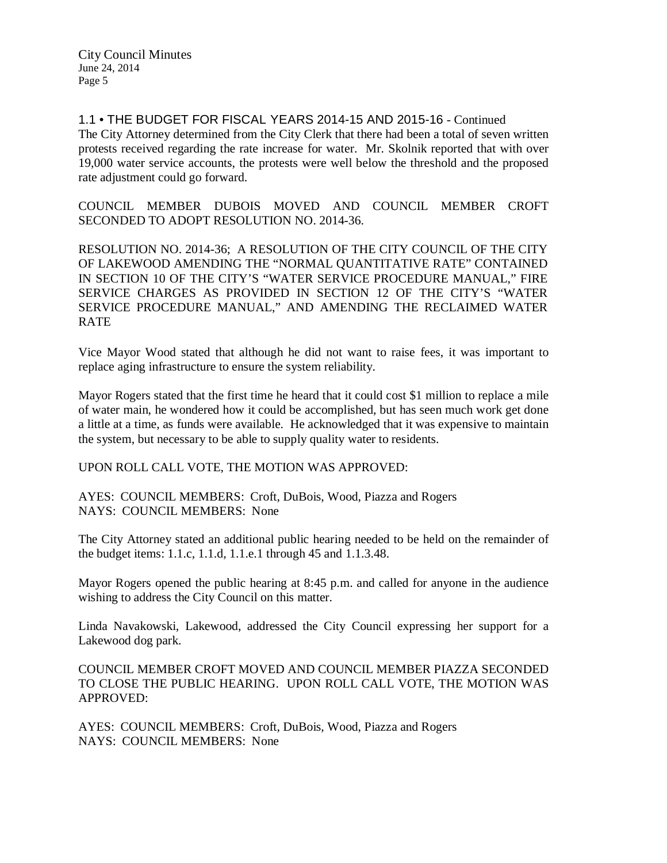1.1 • THE BUDGET FOR FISCAL YEARS 2014-15 AND 2015-16 - Continued The City Attorney determined from the City Clerk that there had been a total of seven written protests received regarding the rate increase for water. Mr. Skolnik reported that with over 19,000 water service accounts, the protests were well below the threshold and the proposed rate adjustment could go forward.

COUNCIL MEMBER DUBOIS MOVED AND COUNCIL MEMBER CROFT SECONDED TO ADOPT RESOLUTION NO. 2014-36.

RESOLUTION NO. 2014-36; A RESOLUTION OF THE CITY COUNCIL OF THE CITY OF LAKEWOOD AMENDING THE "NORMAL QUANTITATIVE RATE" CONTAINED IN SECTION 10 OF THE CITY'S "WATER SERVICE PROCEDURE MANUAL," FIRE SERVICE CHARGES AS PROVIDED IN SECTION 12 OF THE CITY'S "WATER SERVICE PROCEDURE MANUAL," AND AMENDING THE RECLAIMED WATER RATE

Vice Mayor Wood stated that although he did not want to raise fees, it was important to replace aging infrastructure to ensure the system reliability.

Mayor Rogers stated that the first time he heard that it could cost \$1 million to replace a mile of water main, he wondered how it could be accomplished, but has seen much work get done a little at a time, as funds were available. He acknowledged that it was expensive to maintain the system, but necessary to be able to supply quality water to residents.

UPON ROLL CALL VOTE, THE MOTION WAS APPROVED:

AYES: COUNCIL MEMBERS: Croft, DuBois, Wood, Piazza and Rogers NAYS: COUNCIL MEMBERS: None

The City Attorney stated an additional public hearing needed to be held on the remainder of the budget items: 1.1.c, 1.1.d, 1.1.e.1 through 45 and 1.1.3.48.

Mayor Rogers opened the public hearing at 8:45 p.m. and called for anyone in the audience wishing to address the City Council on this matter.

Linda Navakowski, Lakewood, addressed the City Council expressing her support for a Lakewood dog park.

COUNCIL MEMBER CROFT MOVED AND COUNCIL MEMBER PIAZZA SECONDED TO CLOSE THE PUBLIC HEARING. UPON ROLL CALL VOTE, THE MOTION WAS APPROVED:

AYES: COUNCIL MEMBERS: Croft, DuBois, Wood, Piazza and Rogers NAYS: COUNCIL MEMBERS: None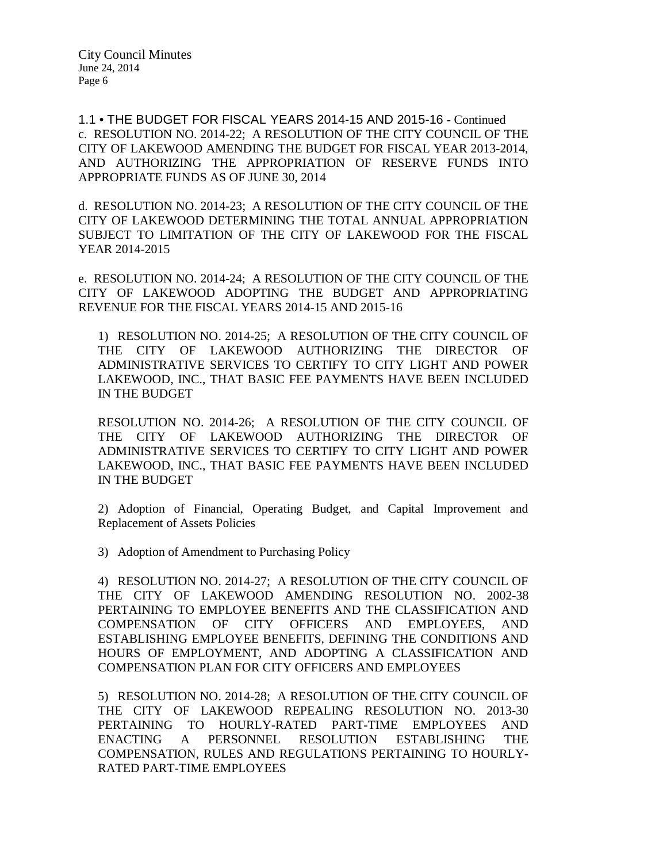1.1 • THE BUDGET FOR FISCAL YEARS 2014-15 AND 2015-16 - Continued c. RESOLUTION NO. 2014-22; A RESOLUTION OF THE CITY COUNCIL OF THE CITY OF LAKEWOOD AMENDING THE BUDGET FOR FISCAL YEAR 2013-2014, AND AUTHORIZING THE APPROPRIATION OF RESERVE FUNDS INTO APPROPRIATE FUNDS AS OF JUNE 30, 2014

d. RESOLUTION NO. 2014-23; A RESOLUTION OF THE CITY COUNCIL OF THE CITY OF LAKEWOOD DETERMINING THE TOTAL ANNUAL APPROPRIATION SUBJECT TO LIMITATION OF THE CITY OF LAKEWOOD FOR THE FISCAL YEAR 2014-2015

e. RESOLUTION NO. 2014-24; A RESOLUTION OF THE CITY COUNCIL OF THE CITY OF LAKEWOOD ADOPTING THE BUDGET AND APPROPRIATING REVENUE FOR THE FISCAL YEARS 2014-15 AND 2015-16

1) RESOLUTION NO. 2014-25; A RESOLUTION OF THE CITY COUNCIL OF THE CITY OF LAKEWOOD AUTHORIZING THE DIRECTOR OF ADMINISTRATIVE SERVICES TO CERTIFY TO CITY LIGHT AND POWER LAKEWOOD, INC., THAT BASIC FEE PAYMENTS HAVE BEEN INCLUDED IN THE BUDGET

RESOLUTION NO. 2014-26; A RESOLUTION OF THE CITY COUNCIL OF THE CITY OF LAKEWOOD AUTHORIZING THE DIRECTOR OF ADMINISTRATIVE SERVICES TO CERTIFY TO CITY LIGHT AND POWER LAKEWOOD, INC., THAT BASIC FEE PAYMENTS HAVE BEEN INCLUDED IN THE BUDGET

2) Adoption of Financial, Operating Budget, and Capital Improvement and Replacement of Assets Policies

3) Adoption of Amendment to Purchasing Policy

4) RESOLUTION NO. 2014-27; A RESOLUTION OF THE CITY COUNCIL OF THE CITY OF LAKEWOOD AMENDING RESOLUTION NO. 2002-38 PERTAINING TO EMPLOYEE BENEFITS AND THE CLASSIFICATION AND COMPENSATION OF CITY OFFICERS AND EMPLOYEES, AND ESTABLISHING EMPLOYEE BENEFITS, DEFINING THE CONDITIONS AND HOURS OF EMPLOYMENT, AND ADOPTING A CLASSIFICATION AND COMPENSATION PLAN FOR CITY OFFICERS AND EMPLOYEES

5) RESOLUTION NO. 2014-28; A RESOLUTION OF THE CITY COUNCIL OF THE CITY OF LAKEWOOD REPEALING RESOLUTION NO. 2013-30 PERTAINING TO HOURLY-RATED PART-TIME EMPLOYEES AND ENACTING A PERSONNEL RESOLUTION ESTABLISHING THE COMPENSATION, RULES AND REGULATIONS PERTAINING TO HOURLY-RATED PART-TIME EMPLOYEES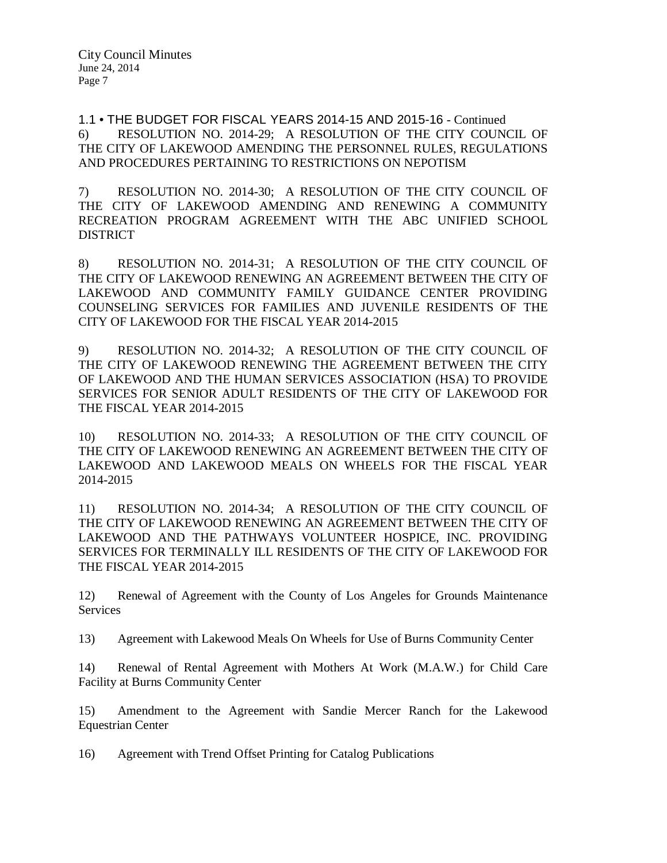1.1 • THE BUDGET FOR FISCAL YEARS 2014-15 AND 2015-16 - Continued 6) RESOLUTION NO. 2014-29; A RESOLUTION OF THE CITY COUNCIL OF THE CITY OF LAKEWOOD AMENDING THE PERSONNEL RULES, REGULATIONS AND PROCEDURES PERTAINING TO RESTRICTIONS ON NEPOTISM

7) RESOLUTION NO. 2014-30; A RESOLUTION OF THE CITY COUNCIL OF THE CITY OF LAKEWOOD AMENDING AND RENEWING A COMMUNITY RECREATION PROGRAM AGREEMENT WITH THE ABC UNIFIED SCHOOL DISTRICT

8) RESOLUTION NO. 2014-31; A RESOLUTION OF THE CITY COUNCIL OF THE CITY OF LAKEWOOD RENEWING AN AGREEMENT BETWEEN THE CITY OF LAKEWOOD AND COMMUNITY FAMILY GUIDANCE CENTER PROVIDING COUNSELING SERVICES FOR FAMILIES AND JUVENILE RESIDENTS OF THE CITY OF LAKEWOOD FOR THE FISCAL YEAR 2014-2015

9) RESOLUTION NO. 2014-32; A RESOLUTION OF THE CITY COUNCIL OF THE CITY OF LAKEWOOD RENEWING THE AGREEMENT BETWEEN THE CITY OF LAKEWOOD AND THE HUMAN SERVICES ASSOCIATION (HSA) TO PROVIDE SERVICES FOR SENIOR ADULT RESIDENTS OF THE CITY OF LAKEWOOD FOR THE FISCAL YEAR 2014-2015

10) RESOLUTION NO. 2014-33; A RESOLUTION OF THE CITY COUNCIL OF THE CITY OF LAKEWOOD RENEWING AN AGREEMENT BETWEEN THE CITY OF LAKEWOOD AND LAKEWOOD MEALS ON WHEELS FOR THE FISCAL YEAR 2014-2015

11) RESOLUTION NO. 2014-34; A RESOLUTION OF THE CITY COUNCIL OF THE CITY OF LAKEWOOD RENEWING AN AGREEMENT BETWEEN THE CITY OF LAKEWOOD AND THE PATHWAYS VOLUNTEER HOSPICE, INC. PROVIDING SERVICES FOR TERMINALLY ILL RESIDENTS OF THE CITY OF LAKEWOOD FOR THE FISCAL YEAR 2014-2015

12) Renewal of Agreement with the County of Los Angeles for Grounds Maintenance Services

13) Agreement with Lakewood Meals On Wheels for Use of Burns Community Center

14) Renewal of Rental Agreement with Mothers At Work (M.A.W.) for Child Care Facility at Burns Community Center

15) Amendment to the Agreement with Sandie Mercer Ranch for the Lakewood Equestrian Center

16) Agreement with Trend Offset Printing for Catalog Publications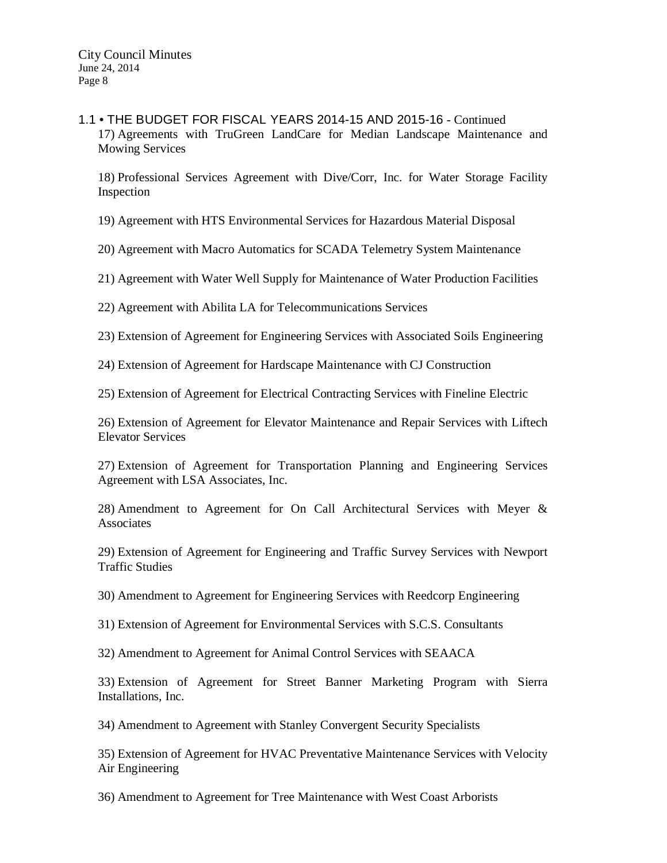1.1 • THE BUDGET FOR FISCAL YEARS 2014-15 AND 2015-16 - Continued 17) Agreements with TruGreen LandCare for Median Landscape Maintenance and Mowing Services

18) Professional Services Agreement with Dive/Corr, Inc. for Water Storage Facility Inspection

19) Agreement with HTS Environmental Services for Hazardous Material Disposal

20) Agreement with Macro Automatics for SCADA Telemetry System Maintenance

21) Agreement with Water Well Supply for Maintenance of Water Production Facilities

22) Agreement with Abilita LA for Telecommunications Services

23) Extension of Agreement for Engineering Services with Associated Soils Engineering

24) Extension of Agreement for Hardscape Maintenance with CJ Construction

25) Extension of Agreement for Electrical Contracting Services with Fineline Electric

26) Extension of Agreement for Elevator Maintenance and Repair Services with Liftech Elevator Services

27) Extension of Agreement for Transportation Planning and Engineering Services Agreement with LSA Associates, Inc.

28) Amendment to Agreement for On Call Architectural Services with Meyer & **Associates** 

29) Extension of Agreement for Engineering and Traffic Survey Services with Newport Traffic Studies

30) Amendment to Agreement for Engineering Services with Reedcorp Engineering

31) Extension of Agreement for Environmental Services with S.C.S. Consultants

32) Amendment to Agreement for Animal Control Services with SEAACA

33) Extension of Agreement for Street Banner Marketing Program with Sierra Installations, Inc.

34) Amendment to Agreement with Stanley Convergent Security Specialists

35) Extension of Agreement for HVAC Preventative Maintenance Services with Velocity Air Engineering

36) Amendment to Agreement for Tree Maintenance with West Coast Arborists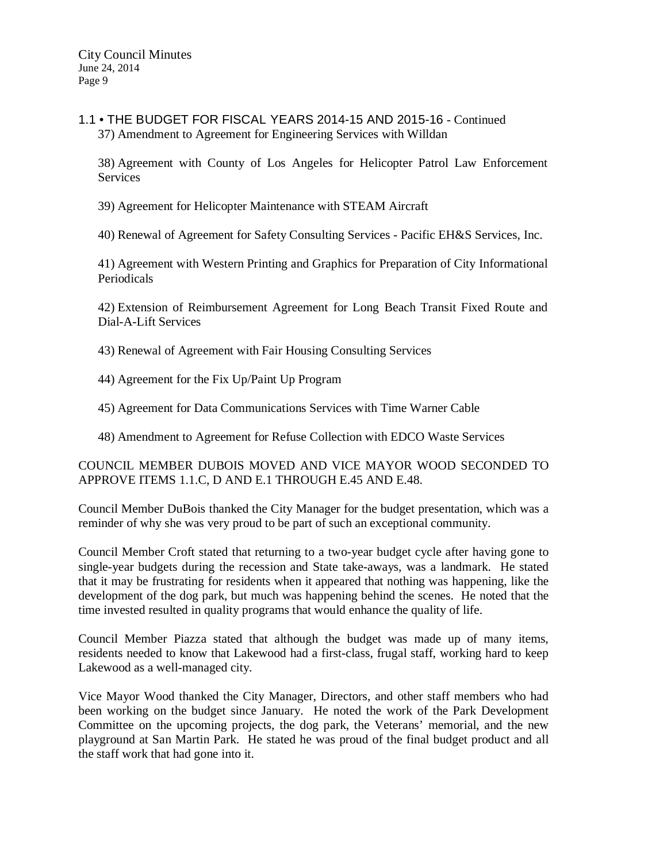1.1 • THE BUDGET FOR FISCAL YEARS 2014-15 AND 2015-16 - Continued 37) Amendment to Agreement for Engineering Services with Willdan

38) Agreement with County of Los Angeles for Helicopter Patrol Law Enforcement **Services** 

39) Agreement for Helicopter Maintenance with STEAM Aircraft

40) Renewal of Agreement for Safety Consulting Services - Pacific EH&S Services, Inc.

41) Agreement with Western Printing and Graphics for Preparation of City Informational Periodicals

42) Extension of Reimbursement Agreement for Long Beach Transit Fixed Route and Dial-A-Lift Services

43) Renewal of Agreement with Fair Housing Consulting Services

- 44) Agreement for the Fix Up/Paint Up Program
- 45) Agreement for Data Communications Services with Time Warner Cable
- 48) Amendment to Agreement for Refuse Collection with EDCO Waste Services

COUNCIL MEMBER DUBOIS MOVED AND VICE MAYOR WOOD SECONDED TO APPROVE ITEMS 1.1.C, D AND E.1 THROUGH E.45 AND E.48.

Council Member DuBois thanked the City Manager for the budget presentation, which was a reminder of why she was very proud to be part of such an exceptional community.

Council Member Croft stated that returning to a two-year budget cycle after having gone to single-year budgets during the recession and State take-aways, was a landmark. He stated that it may be frustrating for residents when it appeared that nothing was happening, like the development of the dog park, but much was happening behind the scenes. He noted that the time invested resulted in quality programs that would enhance the quality of life.

Council Member Piazza stated that although the budget was made up of many items, residents needed to know that Lakewood had a first-class, frugal staff, working hard to keep Lakewood as a well-managed city.

Vice Mayor Wood thanked the City Manager, Directors, and other staff members who had been working on the budget since January. He noted the work of the Park Development Committee on the upcoming projects, the dog park, the Veterans' memorial, and the new playground at San Martin Park. He stated he was proud of the final budget product and all the staff work that had gone into it.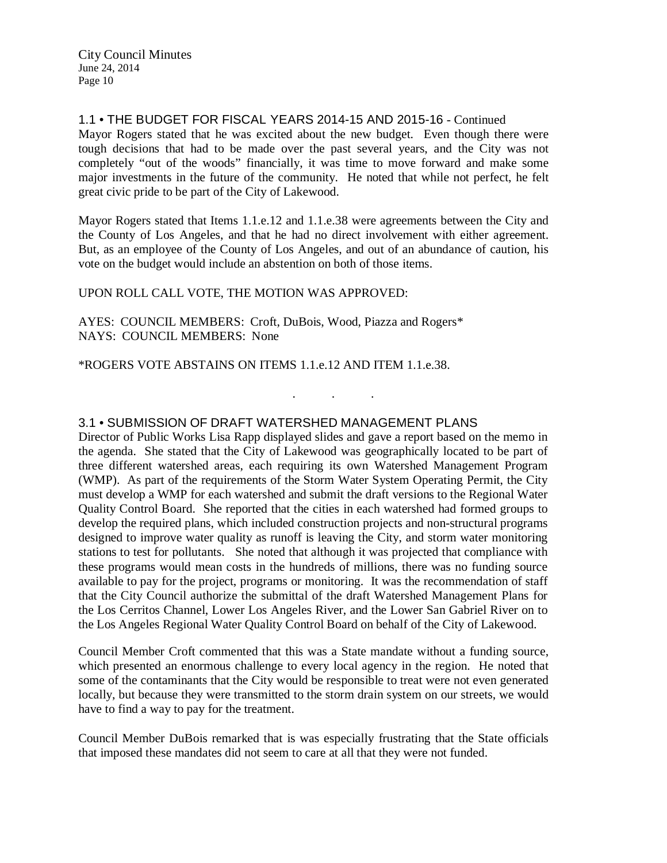1.1 • THE BUDGET FOR FISCAL YEARS 2014-15 AND 2015-16 - Continued Mayor Rogers stated that he was excited about the new budget. Even though there were tough decisions that had to be made over the past several years, and the City was not completely "out of the woods" financially, it was time to move forward and make some major investments in the future of the community. He noted that while not perfect, he felt great civic pride to be part of the City of Lakewood.

Mayor Rogers stated that Items 1.1.e.12 and 1.1.e.38 were agreements between the City and the County of Los Angeles, and that he had no direct involvement with either agreement. But, as an employee of the County of Los Angeles, and out of an abundance of caution, his vote on the budget would include an abstention on both of those items.

## UPON ROLL CALL VOTE, THE MOTION WAS APPROVED:

AYES: COUNCIL MEMBERS: Croft, DuBois, Wood, Piazza and Rogers\* NAYS: COUNCIL MEMBERS: None

\*ROGERS VOTE ABSTAINS ON ITEMS 1.1.e.12 AND ITEM 1.1.e.38.

# 3.1 • SUBMISSION OF DRAFT WATERSHED MANAGEMENT PLANS

Director of Public Works Lisa Rapp displayed slides and gave a report based on the memo in the agenda. She stated that the City of Lakewood was geographically located to be part of three different watershed areas, each requiring its own Watershed Management Program (WMP). As part of the requirements of the Storm Water System Operating Permit, the City must develop a WMP for each watershed and submit the draft versions to the Regional Water Quality Control Board. She reported that the cities in each watershed had formed groups to develop the required plans, which included construction projects and non-structural programs designed to improve water quality as runoff is leaving the City, and storm water monitoring stations to test for pollutants. She noted that although it was projected that compliance with these programs would mean costs in the hundreds of millions, there was no funding source available to pay for the project, programs or monitoring. It was the recommendation of staff that the City Council authorize the submittal of the draft Watershed Management Plans for the Los Cerritos Channel, Lower Los Angeles River, and the Lower San Gabriel River on to the Los Angeles Regional Water Quality Control Board on behalf of the City of Lakewood.

. . .

Council Member Croft commented that this was a State mandate without a funding source, which presented an enormous challenge to every local agency in the region. He noted that some of the contaminants that the City would be responsible to treat were not even generated locally, but because they were transmitted to the storm drain system on our streets, we would have to find a way to pay for the treatment.

Council Member DuBois remarked that is was especially frustrating that the State officials that imposed these mandates did not seem to care at all that they were not funded.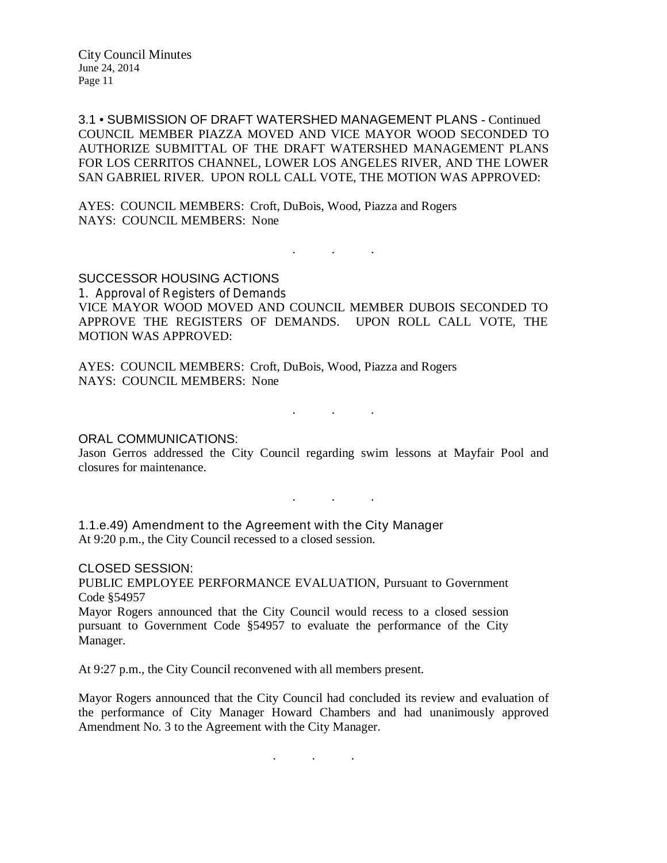3.1 • SUBMISSION OF DRAFT WATERSHED MANAGEMENT PLANS - Continued COUNCIL MEMBER PIAZZA MOVED AND VICE MAYOR WOOD SECONDED TO AUTHORIZE SUBMITTAL OF THE DRAFT WATERSHED MANAGEMENT PLANS FOR LOS CERRITOS CHANNEL, LOWER LOS ANGELES RIVER, AND THE LOWER SAN GABRIEL RIVER. UPON ROLL CALL VOTE, THE MOTION WAS APPROVED:

AYES: COUNCIL MEMBERS: Croft, DuBois, Wood, Piazza and Rogers NAYS: COUNCIL MEMBERS: None

SUCCESSOR HOUSING ACTIONS 1. Approval of Registers of Demands VICE MAYOR WOOD MOVED AND COUNCIL MEMBER DUBOIS SECONDED TO APPROVE THE REGISTERS OF DEMANDS. UPON ROLL CALL VOTE, THE MOTION WAS APPROVED:

. . .

AYES: COUNCIL MEMBERS: Croft, DuBois, Wood, Piazza and Rogers NAYS: COUNCIL MEMBERS: None

. . .

## ORAL COMMUNICATIONS:

Jason Gerros addressed the City Council regarding swim lessons at Mayfair Pool and closures for maintenance.

. . .

1.1.e.49) Amendment to the Agreement with the City Manager At 9:20 p.m., the City Council recessed to a closed session.

CLOSED SESSION:

PUBLIC EMPLOYEE PERFORMANCE EVALUATION, Pursuant to Government Code §54957

Mayor Rogers announced that the City Council would recess to a closed session pursuant to Government Code §54957 to evaluate the performance of the City Manager.

At 9:27 p.m., the City Council reconvened with all members present.

Mayor Rogers announced that the City Council had concluded its review and evaluation of the performance of City Manager Howard Chambers and had unanimously approved Amendment No. 3 to the Agreement with the City Manager.

. . .